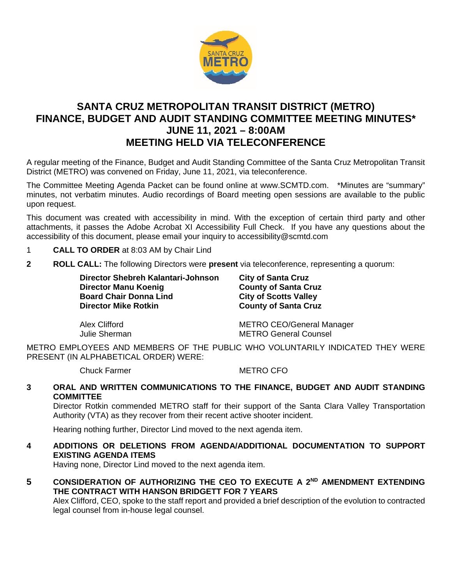

# **SANTA CRUZ METROPOLITAN TRANSIT DISTRICT (METRO) FINANCE, BUDGET AND AUDIT STANDING COMMITTEE MEETING MINUTES\* JUNE 11, 2021 – 8:00AM MEETING HELD VIA TELECONFERENCE**

A regular meeting of the Finance, Budget and Audit Standing Committee of the Santa Cruz Metropolitan Transit District (METRO) was convened on Friday, June 11, 2021, via teleconference.

The Committee Meeting Agenda Packet can be found online at www.SCMTD.com. \*Minutes are "summary" minutes, not verbatim minutes. Audio recordings of Board meeting open sessions are available to the public upon request.

This document was created with accessibility in mind. With the exception of certain third party and other attachments, it passes the Adobe Acrobat XI Accessibility Full Check. If you have any questions about the accessibility of this document, please email your inquiry to accessibility@scmtd.com

- 1 **CALL TO ORDER** at 8:03 AM by Chair Lind
- **2 ROLL CALL:** The following Directors were **present** via teleconference, representing a quorum:

**Director Shebreh Kalantari-Johnson City of Santa Cruz Director Manu Koenig**<br> **Board Chair Donna Lind City of Scotts Valley Board Chair Donna Lind<br>Director Mike Rotkin** 

**County of Santa Cruz** 

Alex Clifford METRO CEO/General Manager Julie Sherman METRO General Counsel

METRO EMPLOYEES AND MEMBERS OF THE PUBLIC WHO VOLUNTARILY INDICATED THEY WERE PRESENT (IN ALPHABETICAL ORDER) WERE:

Chuck Farmer METRO CFO

### **3 ORAL AND WRITTEN COMMUNICATIONS TO THE FINANCE, BUDGET AND AUDIT STANDING COMMITTEE**

Director Rotkin commended METRO staff for their support of the Santa Clara Valley Transportation Authority (VTA) as they recover from their recent active shooter incident.

Hearing nothing further, Director Lind moved to the next agenda item.

# **4 ADDITIONS OR DELETIONS FROM AGENDA/ADDITIONAL DOCUMENTATION TO SUPPORT EXISTING AGENDA ITEMS**

Having none, Director Lind moved to the next agenda item.

**5 CONSIDERATION OF AUTHORIZING THE CEO TO EXECUTE A 2ND AMENDMENT EXTENDING THE CONTRACT WITH HANSON BRIDGETT FOR 7 YEARS** 

Alex Clifford, CEO, spoke to the staff report and provided a brief description of the evolution to contracted legal counsel from in-house legal counsel.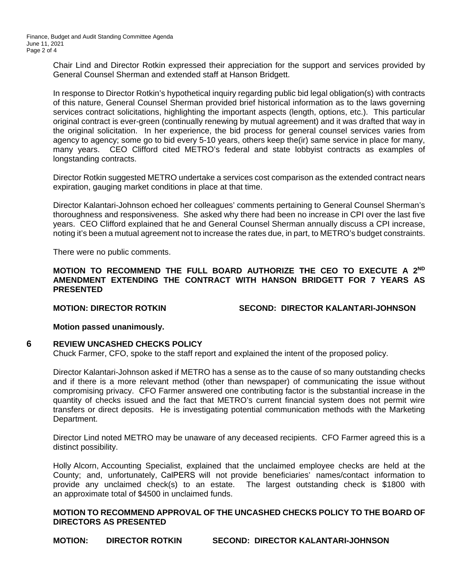Chair Lind and Director Rotkin expressed their appreciation for the support and services provided by General Counsel Sherman and extended staff at Hanson Bridgett.

In response to Director Rotkin's hypothetical inquiry regarding public bid legal obligation(s) with contracts of this nature, General Counsel Sherman provided brief historical information as to the laws governing services contract solicitations, highlighting the important aspects (length, options, etc.). This particular original contract is ever-green (continually renewing by mutual agreement) and it was drafted that way in the original solicitation. In her experience, the bid process for general counsel services varies from agency to agency; some go to bid every 5-10 years, others keep the(ir) same service in place for many, many years. CEO Clifford cited METRO's federal and state lobbyist contracts as examples of longstanding contracts.

Director Rotkin suggested METRO undertake a services cost comparison as the extended contract nears expiration, gauging market conditions in place at that time.

Director Kalantari-Johnson echoed her colleagues' comments pertaining to General Counsel Sherman's thoroughness and responsiveness. She asked why there had been no increase in CPI over the last five years. CEO Clifford explained that he and General Counsel Sherman annually discuss a CPI increase, noting it's been a mutual agreement not to increase the rates due, in part, to METRO's budget constraints.

There were no public comments.

#### **MOTION TO RECOMMEND THE FULL BOARD AUTHORIZE THE CEO TO EXECUTE A 2ND AMENDMENT EXTENDING THE CONTRACT WITH HANSON BRIDGETT FOR 7 YEARS AS PRESENTED**

**MOTION: DIRECTOR ROTKIN SECOND: DIRECTOR KALANTARI-JOHNSON**

### **Motion passed unanimously.**

### **6 REVIEW UNCASHED CHECKS POLICY**

Chuck Farmer, CFO, spoke to the staff report and explained the intent of the proposed policy.

Director Kalantari-Johnson asked if METRO has a sense as to the cause of so many outstanding checks and if there is a more relevant method (other than newspaper) of communicating the issue without compromising privacy. CFO Farmer answered one contributing factor is the substantial increase in the quantity of checks issued and the fact that METRO's current financial system does not permit wire transfers or direct deposits. He is investigating potential communication methods with the Marketing Department.

Director Lind noted METRO may be unaware of any deceased recipients. CFO Farmer agreed this is a distinct possibility.

Holly Alcorn, Accounting Specialist, explained that the unclaimed employee checks are held at the County; and, unfortunately, CalPERS will not provide beneficiaries' names/contact information to provide any unclaimed check(s) to an estate. The largest outstanding check is \$1800 with an approximate total of \$4500 in unclaimed funds.

#### **MOTION TO RECOMMEND APPROVAL OF THE UNCASHED CHECKS POLICY TO THE BOARD OF DIRECTORS AS PRESENTED**

**MOTION: DIRECTOR ROTKIN SECOND: DIRECTOR KALANTARI-JOHNSON**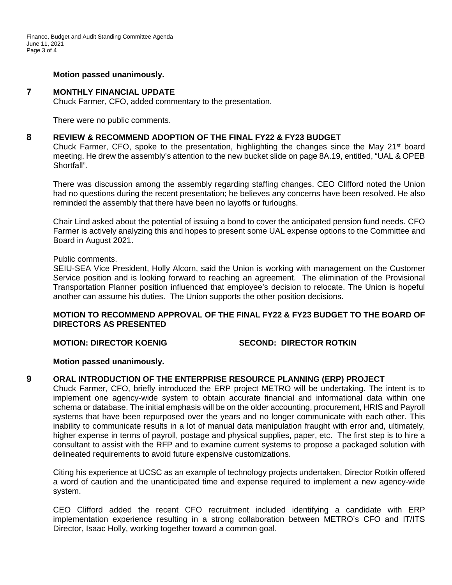#### **Motion passed unanimously.**

#### **7 MONTHLY FINANCIAL UPDATE**

Chuck Farmer, CFO, added commentary to the presentation.

There were no public comments.

#### **8 REVIEW & RECOMMEND ADOPTION OF THE FINAL FY22 & FY23 BUDGET**

Chuck Farmer, CFO, spoke to the presentation, highlighting the changes since the May  $21^{st}$  board meeting. He drew the assembly's attention to the new bucket slide on page 8A.19, entitled, "UAL & OPEB Shortfall".

There was discussion among the assembly regarding staffing changes. CEO Clifford noted the Union had no questions during the recent presentation; he believes any concerns have been resolved. He also reminded the assembly that there have been no layoffs or furloughs.

Chair Lind asked about the potential of issuing a bond to cover the anticipated pension fund needs. CFO Farmer is actively analyzing this and hopes to present some UAL expense options to the Committee and Board in August 2021.

#### Public comments.

SEIU-SEA Vice President, Holly Alcorn, said the Union is working with management on the Customer Service position and is looking forward to reaching an agreement. The elimination of the Provisional Transportation Planner position influenced that employee's decision to relocate. The Union is hopeful another can assume his duties. The Union supports the other position decisions.

#### **MOTION TO RECOMMEND APPROVAL OF THE FINAL FY22 & FY23 BUDGET TO THE BOARD OF DIRECTORS AS PRESENTED**

**MOTION: DIRECTOR KOENIG SECOND: DIRECTOR ROTKIN**

#### **Motion passed unanimously.**

#### **9 ORAL INTRODUCTION OF THE ENTERPRISE RESOURCE PLANNING (ERP) PROJECT**

Chuck Farmer, CFO, briefly introduced the ERP project METRO will be undertaking. The intent is to implement one agency-wide system to obtain accurate financial and informational data within one schema or database. The initial emphasis will be on the older accounting, procurement, HRIS and Payroll systems that have been repurposed over the years and no longer communicate with each other. This inability to communicate results in a lot of manual data manipulation fraught with error and, ultimately, higher expense in terms of payroll, postage and physical supplies, paper, etc. The first step is to hire a consultant to assist with the RFP and to examine current systems to propose a packaged solution with delineated requirements to avoid future expensive customizations.

Citing his experience at UCSC as an example of technology projects undertaken, Director Rotkin offered a word of caution and the unanticipated time and expense required to implement a new agency-wide system.

CEO Clifford added the recent CFO recruitment included identifying a candidate with ERP implementation experience resulting in a strong collaboration between METRO's CFO and IT/ITS Director, Isaac Holly, working together toward a common goal.